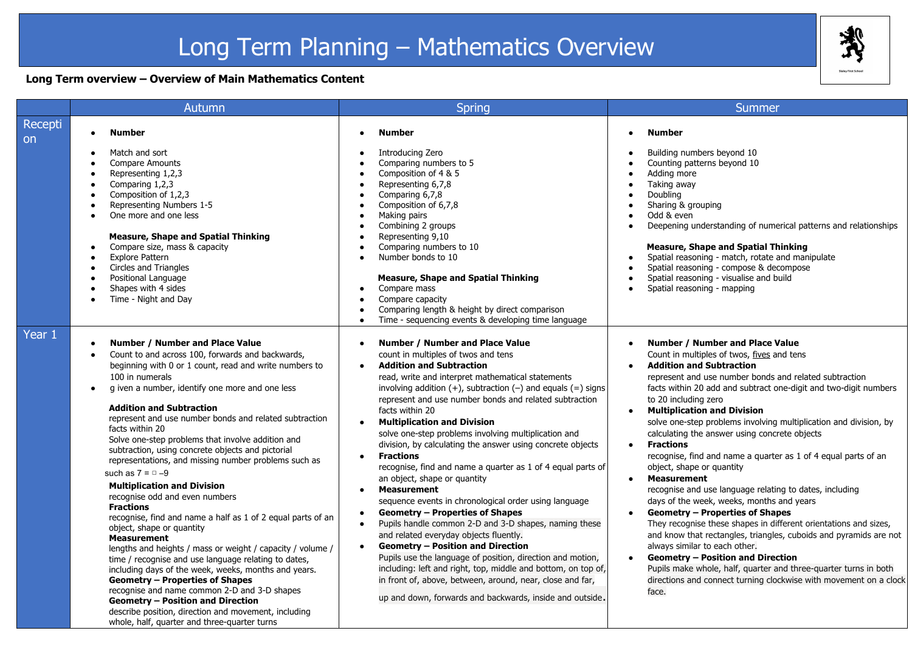# Long Term Planning – Mathematics Overview

### **Long Term overview – Overview of Main Mathematics Content**

|               | Autumn                                                                                                                                                                                                                                                                                                                                                                                                                                                                                                                                                                                                                                                                                                                                                                                                                                                                                                                                                                                                                                                                                                                                                                                     | <b>Spring</b>                                                                                                                                                                                                                                                                                                                                                                                                                                                                                                                                                                                                                                                                                                                                                                                                                                                                                                                                                                                                                                                                                                                                                                                                                                                                                           | Summer                                                                                                                                                                                                                                                                                                                                                                                                                                                                                                                                                                                                                                                                                                                                                                                                                                                                                                                                                                                                                                                                                                                                                                        |
|---------------|--------------------------------------------------------------------------------------------------------------------------------------------------------------------------------------------------------------------------------------------------------------------------------------------------------------------------------------------------------------------------------------------------------------------------------------------------------------------------------------------------------------------------------------------------------------------------------------------------------------------------------------------------------------------------------------------------------------------------------------------------------------------------------------------------------------------------------------------------------------------------------------------------------------------------------------------------------------------------------------------------------------------------------------------------------------------------------------------------------------------------------------------------------------------------------------------|---------------------------------------------------------------------------------------------------------------------------------------------------------------------------------------------------------------------------------------------------------------------------------------------------------------------------------------------------------------------------------------------------------------------------------------------------------------------------------------------------------------------------------------------------------------------------------------------------------------------------------------------------------------------------------------------------------------------------------------------------------------------------------------------------------------------------------------------------------------------------------------------------------------------------------------------------------------------------------------------------------------------------------------------------------------------------------------------------------------------------------------------------------------------------------------------------------------------------------------------------------------------------------------------------------|-------------------------------------------------------------------------------------------------------------------------------------------------------------------------------------------------------------------------------------------------------------------------------------------------------------------------------------------------------------------------------------------------------------------------------------------------------------------------------------------------------------------------------------------------------------------------------------------------------------------------------------------------------------------------------------------------------------------------------------------------------------------------------------------------------------------------------------------------------------------------------------------------------------------------------------------------------------------------------------------------------------------------------------------------------------------------------------------------------------------------------------------------------------------------------|
| Recepti<br>on | Number<br>Match and sort                                                                                                                                                                                                                                                                                                                                                                                                                                                                                                                                                                                                                                                                                                                                                                                                                                                                                                                                                                                                                                                                                                                                                                   | <b>Number</b><br>Introducing Zero                                                                                                                                                                                                                                                                                                                                                                                                                                                                                                                                                                                                                                                                                                                                                                                                                                                                                                                                                                                                                                                                                                                                                                                                                                                                       | <b>Number</b><br>$\bullet$<br>Building numbers beyond 10                                                                                                                                                                                                                                                                                                                                                                                                                                                                                                                                                                                                                                                                                                                                                                                                                                                                                                                                                                                                                                                                                                                      |
|               | <b>Compare Amounts</b><br>Representing 1,2,3<br>Comparing 1,2,3<br>Composition of 1,2,3<br>Representing Numbers 1-5<br>One more and one less<br><b>Measure, Shape and Spatial Thinking</b><br>Compare size, mass & capacity<br><b>Explore Pattern</b><br>Circles and Triangles<br>Positional Language<br>Shapes with 4 sides<br>Time - Night and Day                                                                                                                                                                                                                                                                                                                                                                                                                                                                                                                                                                                                                                                                                                                                                                                                                                       | Comparing numbers to 5<br>$\bullet$<br>Composition of 4 & 5<br>$\bullet$<br>Representing 6,7,8<br>$\bullet$<br>Comparing 6,7,8<br>$\bullet$<br>Composition of 6,7,8<br>$\bullet$<br>Making pairs<br>$\bullet$<br>Combining 2 groups<br>$\bullet$<br>Representing 9,10<br>$\bullet$<br>Comparing numbers to 10<br>$\bullet$<br>Number bonds to 10<br>$\bullet$<br><b>Measure, Shape and Spatial Thinking</b><br>Compare mass<br>$\bullet$<br>Compare capacity<br>Comparing length & height by direct comparison                                                                                                                                                                                                                                                                                                                                                                                                                                                                                                                                                                                                                                                                                                                                                                                          | Counting patterns beyond 10<br>Adding more<br>Taking away<br>$\bullet$<br>Doubling<br>Sharing & grouping<br>$\bullet$<br>Odd & even<br>Deepening understanding of numerical patterns and relationships<br>$\bullet$<br><b>Measure, Shape and Spatial Thinking</b><br>Spatial reasoning - match, rotate and manipulate<br>$\bullet$<br>Spatial reasoning - compose & decompose<br>$\bullet$<br>Spatial reasoning - visualise and build<br>Spatial reasoning - mapping                                                                                                                                                                                                                                                                                                                                                                                                                                                                                                                                                                                                                                                                                                          |
| Year 1        | <b>Number / Number and Place Value</b><br>$\bullet$<br>Count to and across 100, forwards and backwards,<br>beginning with 0 or 1 count, read and write numbers to<br>100 in numerals<br>g iven a number, identify one more and one less<br><b>Addition and Subtraction</b><br>represent and use number bonds and related subtraction<br>facts within 20<br>Solve one-step problems that involve addition and<br>subtraction, using concrete objects and pictorial<br>representations, and missing number problems such as<br>such as $7 = 0 - 9$<br><b>Multiplication and Division</b><br>recognise odd and even numbers<br><b>Fractions</b><br>recognise, find and name a half as 1 of 2 equal parts of an<br>object, shape or quantity<br><b>Measurement</b><br>lengths and heights / mass or weight / capacity / volume /<br>time / recognise and use language relating to dates,<br>including days of the week, weeks, months and years.<br><b>Geometry - Properties of Shapes</b><br>recognise and name common 2-D and 3-D shapes<br><b>Geometry - Position and Direction</b><br>describe position, direction and movement, including<br>whole, half, quarter and three-quarter turns | Time - sequencing events & developing time language<br>$\bullet$<br><b>Number / Number and Place Value</b><br>$\bullet$<br>count in multiples of twos and tens<br><b>Addition and Subtraction</b><br>read, write and interpret mathematical statements<br>involving addition $(+)$ , subtraction $(-)$ and equals $(=)$ signs<br>represent and use number bonds and related subtraction<br>facts within 20<br><b>Multiplication and Division</b><br>$\bullet$<br>solve one-step problems involving multiplication and<br>division, by calculating the answer using concrete objects<br><b>Fractions</b><br>$\bullet$<br>recognise, find and name a quarter as 1 of 4 equal parts of<br>an object, shape or quantity<br><b>Measurement</b><br>$\bullet$<br>sequence events in chronological order using language<br><b>Geometry - Properties of Shapes</b><br>$\bullet$<br>Pupils handle common 2-D and 3-D shapes, naming these<br>$\bullet$<br>and related everyday objects fluently.<br><b>Geometry - Position and Direction</b><br>$\bullet$<br>Pupils use the language of position, direction and motion,<br>including: left and right, top, middle and bottom, on top of,<br>in front of, above, between, around, near, close and far,<br>up and down, forwards and backwards, inside and outside. | <b>Number / Number and Place Value</b><br>$\bullet$<br>Count in multiples of twos, fives and tens<br><b>Addition and Subtraction</b><br>represent and use number bonds and related subtraction<br>facts within 20 add and subtract one-digit and two-digit numbers<br>to 20 including zero<br><b>Multiplication and Division</b><br>$\bullet$<br>solve one-step problems involving multiplication and division, by<br>calculating the answer using concrete objects<br><b>Fractions</b><br>$\bullet$<br>recognise, find and name a quarter as 1 of 4 equal parts of an<br>object, shape or quantity<br><b>Measurement</b><br>$\bullet$<br>recognise and use language relating to dates, including<br>days of the week, weeks, months and years<br><b>Geometry - Properties of Shapes</b><br>They recognise these shapes in different orientations and sizes,<br>and know that rectangles, triangles, cuboids and pyramids are not<br>always similar to each other.<br><b>Geometry - Position and Direction</b><br>$\bullet$<br>Pupils make whole, half, quarter and three-quarter turns in both<br>directions and connect turning clockwise with movement on a clock<br>face. |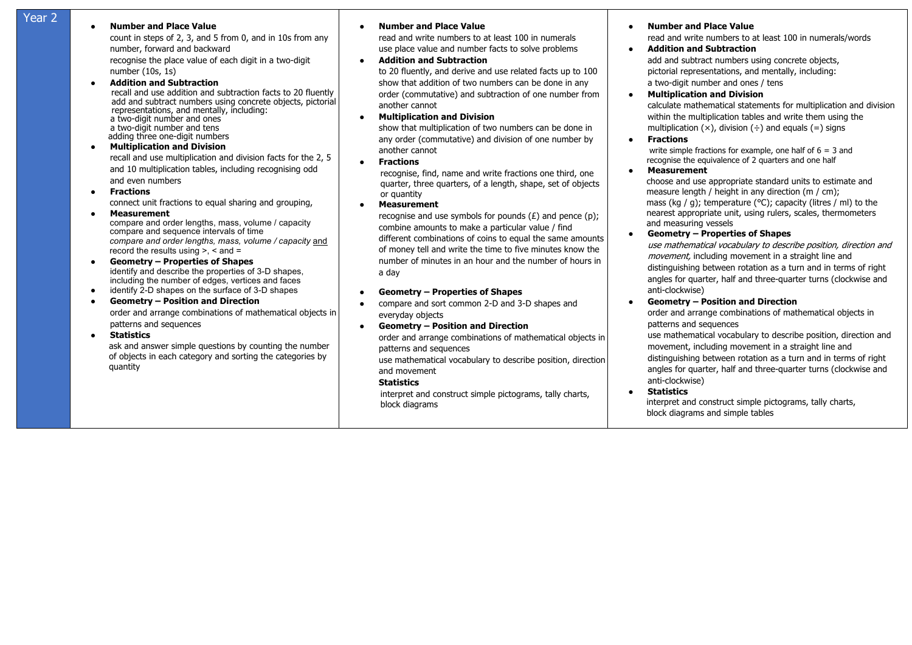## **Year 2 b b Number and Place Value**

count in steps of 2, 3, and 5 from 0, and in 10s from any number, forward and backward recognise the place value of each digit in a two-digit

number (10s, 1s)

#### ● **Addition and Subtraction**

 recall and use addition and subtraction facts to 20 fluently add and subtract numbers using concrete objects, pictorial representations, and mentally, including: a two-digit number and ones a two-digit number and tens adding three one-digit numbers

#### ● **Multiplication and Division**

recall and use multiplication and division facts for the 2, 5 and 10 multiplication tables, including recognising odd and even numbers

#### ● **Fractions**

connect unit fractions to equal sharing and grouping,

#### ● **Measurement**

 compare and order lengths, mass, volume / capacity compare and sequence intervals of time  *compare and order lengths, mass, volume / capacity* and record the results using  $> x <$  and  $=$ 

#### ● **Geometry – Properties of Shapes** identify and describe the properties of 3-D shapes, including the number of edges, vertices and faces

● identify 2-D shapes on the surface of 3-D shapes

#### ● **Geometry – Position and Direction** order and arrange combinations of mathematical objects in patterns and sequences

#### ● **Statistics**

 ask and answer simple questions by counting the number of objects in each category and sorting the categories by quantity

#### ● **Number and Place Value**

read and write numbers to at least 100 in numerals use place value and number facts to solve problems

#### ● **Addition and Subtraction**

to 20 fluently, and derive and use related facts up to 100 show that addition of two numbers can be done in any order (commutative) and subtraction of one number from another cannot

#### ● **Multiplication and Division**

show that multiplication of two numbers can be done in any order (commutative) and division of one number by another cannot

● **Fractions**

 recognise, find, name and write fractions one third, one quarter, three quarters, of a length, shape, set of objects or quantity

● **Measurement**

recognise and use symbols for pounds  $(E)$  and pence  $(p)$ ; combine amounts to make a particular value / find different combinations of coins to equal the same amounts of money tell and write the time to five minutes know the number of minutes in an hour and the number of hours in a day

#### ● **Geometry – Properties of Shapes**

● compare and sort common 2-D and 3-D shapes and everyday objects

#### ● **Geometry – Position and Direction**

order and arrange combinations of mathematical objects in patterns and sequences

use mathematical vocabulary to describe position, direction and movement

#### **Statistics**

interpret and construct simple pictograms, tally charts, block diagrams

### **Number and Place Value**

read and write numbers to at least 100 in numerals/words

#### ● **Addition and Subtraction**

add and subtract numbers using concrete objects, pictorial representations, and mentally, including: a two-digit number and ones / tens

#### **Multiplication and Division**

calculate mathematical statements for multiplication and division within the multiplication tables and write them using the multiplication  $(x)$ , division  $(\div)$  and equals  $(=)$  signs

● **Fractions**

write simple fractions for example, one half of  $6 = 3$  and recognise the equivalence of 2 quarters and one half

● **Measurement**

choose and use appropriate standard units to estimate and measure length / height in any direction (m / cm): mass (kg / g); temperature (°C); capacity (litres / ml) to the nearest appropriate unit, using rulers, scales, thermometers and measuring vessels

#### ● **Geometry – Properties of Shapes**

use mathematical vocabulary to describe position, direction and movement, including movement in a straight line and distinguishing between rotation as a turn and in terms of right angles for quarter, half and three-quarter turns (clockwise and anti-clockwise)

#### ● **Geometry – Position and Direction**

order and arrange combinations of mathematical objects in patterns and sequences

use mathematical vocabulary to describe position, direction and movement, including movement in a straight line and distinguishing between rotation as a turn and in terms of right angles for quarter, half and three-quarter turns (clockwise and anti-clockwise)

● **Statistics** 

 interpret and construct simple pictograms, tally charts, block diagrams and simple tables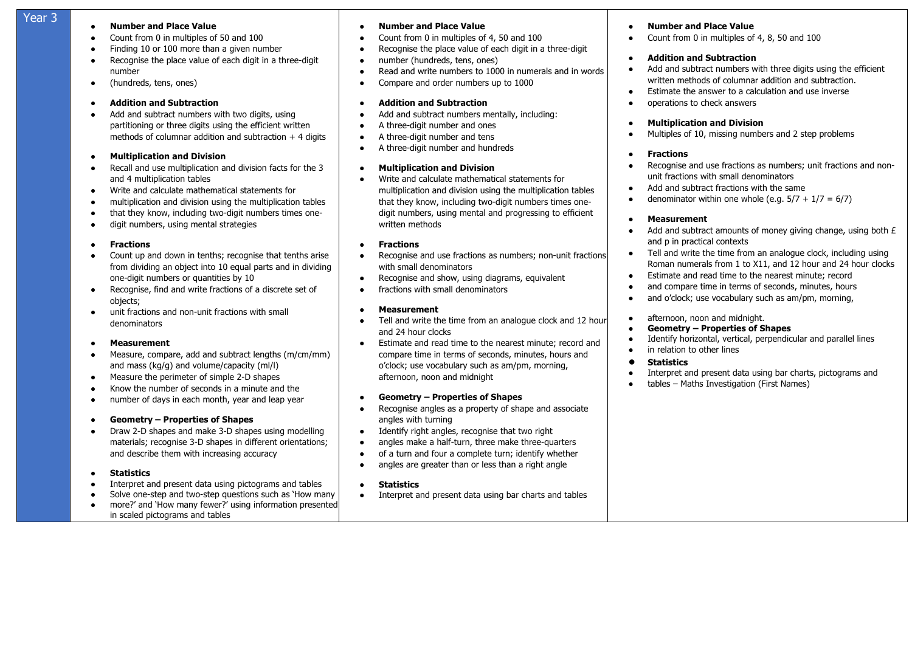## **Year 3 • Number and Place Value**

- Count from 0 in multiples of 50 and 100
- Finding 10 or 100 more than a given number
- Recognise the place value of each digit in a three-digit number
- (hundreds, tens, ones)

#### ● **Addition and Subtraction**

• Add and subtract numbers with two digits, using partitioning or three digits using the efficient written methods of columnar addition and subtraction  $+4$  digits

#### ● **Multiplication and Division**

- Recall and use multiplication and division facts for the 3 and 4 multiplication tables
- Write and calculate mathematical statements for
- multiplication and division using the multiplication tables
- that they know, including two-digit numbers times one-
- digit numbers, using mental strategies

#### ● **Fractions**

- Count up and down in tenths; recognise that tenths arise from dividing an object into 10 equal parts and in dividing one-digit numbers or quantities by 10
- Recognise, find and write fractions of a discrete set of objects;
- unit fractions and non-unit fractions with small denominators

#### ● **Measurement**

- Measure, compare, add and subtract lengths (m/cm/mm) and mass (kg/g) and volume/capacity (ml/l)
- Measure the perimeter of simple 2-D shapes
- Know the number of seconds in a minute and the
- number of days in each month, year and leap year

#### ● **Geometry – Properties of Shapes**

● Draw 2-D shapes and make 3-D shapes using modelling materials; recognise 3-D shapes in different orientations; and describe them with increasing accuracy

#### ● **Statistics**

- Interpret and present data using pictograms and tables
- Solve one-step and two-step questions such as 'How many • more?' and 'How many fewer?' using information presented
- in scaled pictograms and tables

#### ● **Number and Place Value**

- Count from 0 in multiples of 4, 50 and 100
- Recognise the place value of each digit in a three-digit
- number (hundreds, tens, ones)
- Read and write numbers to 1000 in numerals and in words
- Compare and order numbers up to 1000

#### ● **Addition and Subtraction**

- Add and subtract numbers mentally, including:
- A three-digit number and ones
- A three-digit number and tens
- A three-digit number and hundreds

#### ● **Multiplication and Division**

Write and calculate mathematical statements for multiplication and division using the multiplication tables that they know, including two-digit numbers times onedigit numbers, using mental and progressing to efficient written methods

#### ● **Fractions**

- Recognise and use fractions as numbers; non-unit fractions with small denominators
- Recognise and show, using diagrams, equivalent
- **•** fractions with small denominators

#### ● **Measurement**

- Tell and write the time from an analogue clock and 12 hour and 24 hour clocks
- Estimate and read time to the nearest minute; record and compare time in terms of seconds, minutes, hours and o'clock; use vocabulary such as am/pm, morning, afternoon, noon and midnight

#### ● **Geometry – Properties of Shapes**

- Recognise angles as a property of shape and associate angles with turning
- Identify right angles, recognise that two right
- angles make a half-turn, three make three-quarters
- of a turn and four a complete turn; identify whether
- angles are greater than or less than a right angle

#### ● **Statistics**

● Interpret and present data using bar charts and tables

#### **Number and Place Value**

Count from 0 in multiples of 4, 8, 50 and 100

#### ● **Addition and Subtraction**

- Add and subtract numbers with three digits using the efficient written methods of columnar addition and subtraction.
- Estimate the answer to a calculation and use inverse
- operations to check answers

#### **Multiplication and Division**

● Multiples of 10, missing numbers and 2 step problems

#### ● **Fractions**

- Recognise and use fractions as numbers; unit fractions and nonunit fractions with small denominators
- **Add and subtract fractions with the same**
- denominator within one whole (e.g.  $5/7 + 1/7 = 6/7$ )

#### ● **Measurement**

- $\bullet$  Add and subtract amounts of money giving change, using both  $E$ and p in practical contexts
- Tell and write the time from an analogue clock, including using Roman numerals from 1 to X11, and 12 hour and 24 hour clocks
- Estimate and read time to the nearest minute; record
- and compare time in terms of seconds, minutes, hours
- and o'clock; use vocabulary such as am/pm, morning,
- afternoon, noon and midnight.
- **Geometry – Properties of Shapes**
- Identify horizontal, vertical, perpendicular and parallel lines
- in relation to other lines

### ● **Statistics**

- Interpret and present data using bar charts, pictograms and<br>• tables Maths Investigation (First Names)
- tables Maths Investigation (First Names)